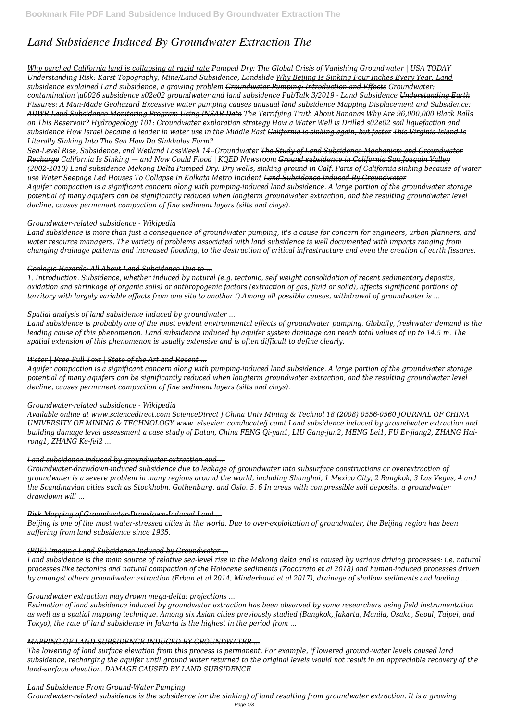# *Land Subsidence Induced By Groundwater Extraction The*

*Why parched California land is collapsing at rapid rate Pumped Dry: The Global Crisis of Vanishing Groundwater | USA TODAY Understanding Risk: Karst Topography, Mine/Land Subsidence, Landslide Why Beijing Is Sinking Four Inches Every Year: Land subsidence explained Land subsidence, a growing problem Groundwater Pumping: Introduction and Effects Groundwater: contamination \u0026 subsidence s02e02 groundwater and land subsidence PubTalk 3/2019 - Land Subsidence Understanding Earth Fissures: A Man-Made Geohazard Excessive water pumping causes unusual land subsidence Mapping Displacement and Subsidence: ADWR Land Subsidence Monitoring Program Using INSAR Data The Terrifying Truth About Bananas Why Are 96,000,000 Black Balls on This Reservoir? Hydrogeology 101: Groundwater exploration strategy How a Water Well is Drilled s02e02 soil liquefaction and subsidence How Israel became a leader in water use in the Middle East California is sinking again, but faster This Virginia Island Is Literally Sinking Into The Sea How Do Sinkholes Form?*

*Sea-Level Rise, Subsidence, and Wetland LossWeek 14--Groundwater The Study of Land Subsidence Mechanism and Groundwater Recharge California Is Sinking — and Now Could Flood | KQED Newsroom Ground subsidence in California San Joaquin Valley (2002-2010) Land subsidence Mekong Delta Pumped Dry: Dry wells, sinking ground in Calf. Parts of California sinking because of water use Water Seepage Led Houses To Collapse In Kolkata Metro Incident Land Subsidence Induced By Groundwater Aquifer compaction is a significant concern along with pumping-induced land subsidence. A large portion of the groundwater storage potential of many aquifers can be significantly reduced when longterm groundwater extraction, and the resulting groundwater level decline, causes permanent compaction of fine sediment layers (silts and clays).*

# *Groundwater-related subsidence - Wikipedia*

*Land subsidence is more than just a consequence of groundwater pumping, it's a cause for concern for engineers, urban planners, and water resource managers. The variety of problems associated with land subsidence is well documented with impacts ranging from changing drainage patterns and increased flooding, to the destruction of critical infrastructure and even the creation of earth fissures.*

# *Geologic Hazards: All About Land Subsidence Due to ...*

*1. Introduction. Subsidence, whether induced by natural (e.g. tectonic, self weight consolidation of recent sedimentary deposits, oxidation and shrinkage of organic soils) or anthropogenic factors (extraction of gas, fluid or solid), affects significant portions of territory with largely variable effects from one site to another ().Among all possible causes, withdrawal of groundwater is ...*

# *Spatial analysis of land subsidence induced by groundwater ...*

*Land subsidence is probably one of the most evident environmental effects of groundwater pumping. Globally, freshwater demand is the leading cause of this phenomenon. Land subsidence induced by aquifer system drainage can reach total values of up to 14.5 m. The spatial extension of this phenomenon is usually extensive and is often difficult to define clearly.*

# *Water | Free Full-Text | State of the Art and Recent ...*

*Aquifer compaction is a significant concern along with pumping-induced land subsidence. A large portion of the groundwater storage potential of many aquifers can be significantly reduced when longterm groundwater extraction, and the resulting groundwater level decline, causes permanent compaction of fine sediment layers (silts and clays).*

### *Groundwater-related subsidence - Wikipedia*

*Available online at www.sciencedirect.com ScienceDirect J China Univ Mining & Technol 18 (2008) 0556-0560 JOURNAL OF CHINA UNIVERSITY OF MINING & TECHNOLOGY www. elsevier. com/locate/j cumt Land subsidence induced by groundwater extraction and building damage level assessment a case study of Datun, China FENG Qi-yan1, LIU Gang-jun2, MENG Lei1, FU Er-jiang2, ZHANG Hairong1, ZHANG Ke-fei2 ...*

# *Land subsidence induced by groundwater extraction and ...*

*Groundwater‐drawdown‐induced subsidence due to leakage of groundwater into subsurface constructions or overextraction of groundwater is a severe problem in many regions around the world, including Shanghai, 1 Mexico City, 2 Bangkok, 3 Las Vegas, 4 and the Scandinavian cities such as Stockholm, Gothenburg, and Oslo. 5, 6 In areas with compressible soil deposits, a groundwater drawdown will ...*

# *Risk Mapping of Groundwater‐Drawdown‐Induced Land ...*

*Beijing is one of the most water-stressed cities in the world. Due to over-exploitation of groundwater, the Beijing region has been suffering from land subsidence since 1935.*

#### *(PDF) Imaging Land Subsidence Induced by Groundwater ...*

*Land subsidence is the main source of relative sea-level rise in the Mekong delta and is caused by various driving processes: i.e. natural processes like tectonics and natural compaction of the Holocene sediments (Zoccarato et al 2018) and human-induced processes driven by amongst others groundwater extraction (Erban et al 2014, Minderhoud et al 2017), drainage of shallow sediments and loading ...*

### *Groundwater extraction may drown mega-delta: projections ...*

*Estimation of land subsidence induced by groundwater extraction has been observed by some researchers using field instrumentation as well as a spatial mapping technique. Among six Asian cities previously studied (Bangkok, Jakarta, Manila, Osaka, Seoul, Taipei, and Tokyo), the rate of land subsidence in Jakarta is the highest in the period from ...*

### *MAPPING OF LAND SUBSIDENCE INDUCED BY GROUNDWATER ...*

*The lowering of land surface elevation from this process is permanent. For example, if lowered ground-water levels caused land subsidence, recharging the aquifer until ground water returned to the original levels would not result in an appreciable recovery of the land-surface elevation. DAMAGE CAUSED BY LAND SUBSIDENCE*

*Land Subsidence From Ground-Water Pumping*

*Groundwater-related subsidence is the subsidence (or the sinking) of land resulting from groundwater extraction. It is a growing*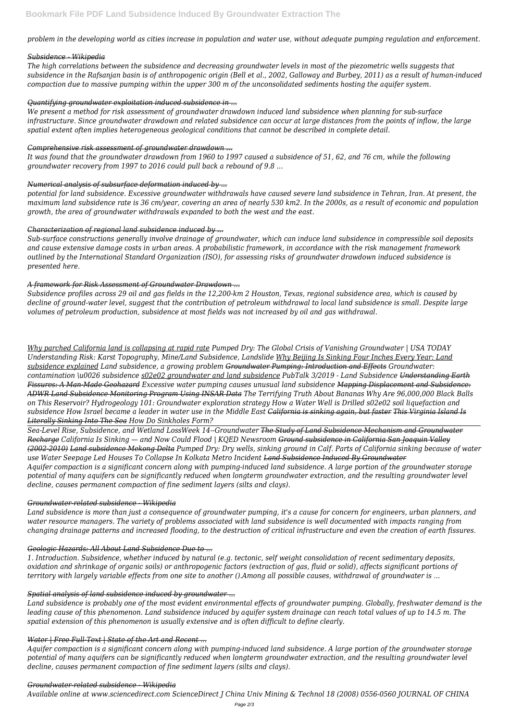*problem in the developing world as cities increase in population and water use, without adequate pumping regulation and enforcement.*

### *Subsidence - Wikipedia*

*The high correlations between the subsidence and decreasing groundwater levels in most of the piezometric wells suggests that subsidence in the Rafsanjan basin is of anthropogenic origin (Bell et al., 2002, Galloway and Burbey, 2011) as a result of human-induced compaction due to massive pumping within the upper 300 m of the unconsolidated sediments hosting the aquifer system.*

# *Quantifying groundwater exploitation induced subsidence in ...*

*We present a method for risk assessment of groundwater drawdown induced land subsidence when planning for sub-surface infrastructure. Since groundwater drawdown and related subsidence can occur at large distances from the points of inflow, the large spatial extent often implies heterogeneous geological conditions that cannot be described in complete detail.*

# *Comprehensive risk assessment of groundwater drawdown ...*

*It was found that the groundwater drawdown from 1960 to 1997 caused a subsidence of 51, 62, and 76 cm, while the following groundwater recovery from 1997 to 2016 could pull back a rebound of 9.8 ...*

# *Numerical analysis of subsurface deformation induced by ...*

*potential for land subsidence. Excessive groundwater withdrawals have caused severe land subsidence in Tehran, Iran. At present, the maximum land subsidence rate is 36 cm/year, covering an area of nearly 530 km2. In the 2000s, as a result of economic and population growth, the area of groundwater withdrawals expanded to both the west and the east.*

# *Characterization of regional land subsidence induced by ...*

*Sub-surface constructions generally involve drainage of groundwater, which can induce land subsidence in compressible soil deposits and cause extensive damage costs in urban areas. A probabilistic framework, in accordance with the risk management framework outlined by the International Standard Organization (ISO), for assessing risks of groundwater drawdown induced subsidence is presented here.*

# *A framework for Risk Assessment of Groundwater Drawdown ...*

*Subsidence profiles across 29 oil and gas fields in the 12,200‐km 2 Houston, Texas, regional subsidence area, which is caused by decline of ground‐water level, suggest that the contribution of petroleum withdrawal to local land subsidence is small. Despite large volumes of petroleum production, subsidence at most fields was not increased by oil and gas withdrawal.*

*Why parched California land is collapsing at rapid rate Pumped Dry: The Global Crisis of Vanishing Groundwater | USA TODAY Understanding Risk: Karst Topography, Mine/Land Subsidence, Landslide Why Beijing Is Sinking Four Inches Every Year: Land subsidence explained Land subsidence, a growing problem Groundwater Pumping: Introduction and Effects Groundwater: contamination \u0026 subsidence s02e02 groundwater and land subsidence PubTalk 3/2019 - Land Subsidence Understanding Earth Fissures: A Man-Made Geohazard Excessive water pumping causes unusual land subsidence Mapping Displacement and Subsidence: ADWR Land Subsidence Monitoring Program Using INSAR Data The Terrifying Truth About Bananas Why Are 96,000,000 Black Balls on This Reservoir? Hydrogeology 101: Groundwater exploration strategy How a Water Well is Drilled s02e02 soil liquefaction and subsidence How Israel became a leader in water use in the Middle East California is sinking again, but faster This Virginia Island Is Literally Sinking Into The Sea How Do Sinkholes Form?*

*Sea-Level Rise, Subsidence, and Wetland LossWeek 14--Groundwater The Study of Land Subsidence Mechanism and Groundwater Recharge California Is Sinking — and Now Could Flood | KQED Newsroom Ground subsidence in California San Joaquin Valley (2002-2010) Land subsidence Mekong Delta Pumped Dry: Dry wells, sinking ground in Calf. Parts of California sinking because of water use Water Seepage Led Houses To Collapse In Kolkata Metro Incident Land Subsidence Induced By Groundwater Aquifer compaction is a significant concern along with pumping-induced land subsidence. A large portion of the groundwater storage potential of many aquifers can be significantly reduced when longterm groundwater extraction, and the resulting groundwater level decline, causes permanent compaction of fine sediment layers (silts and clays).*

### *Groundwater-related subsidence - Wikipedia*

*Land subsidence is more than just a consequence of groundwater pumping, it's a cause for concern for engineers, urban planners, and water resource managers. The variety of problems associated with land subsidence is well documented with impacts ranging from changing drainage patterns and increased flooding, to the destruction of critical infrastructure and even the creation of earth fissures.*

#### *Geologic Hazards: All About Land Subsidence Due to ...*

*1. Introduction. Subsidence, whether induced by natural (e.g. tectonic, self weight consolidation of recent sedimentary deposits, oxidation and shrinkage of organic soils) or anthropogenic factors (extraction of gas, fluid or solid), affects significant portions of territory with largely variable effects from one site to another ().Among all possible causes, withdrawal of groundwater is ...*

### *Spatial analysis of land subsidence induced by groundwater ...*

*Land subsidence is probably one of the most evident environmental effects of groundwater pumping. Globally, freshwater demand is the leading cause of this phenomenon. Land subsidence induced by aquifer system drainage can reach total values of up to 14.5 m. The spatial extension of this phenomenon is usually extensive and is often difficult to define clearly.*

#### *Water | Free Full-Text | State of the Art and Recent ...*

*Aquifer compaction is a significant concern along with pumping-induced land subsidence. A large portion of the groundwater storage potential of many aquifers can be significantly reduced when longterm groundwater extraction, and the resulting groundwater level decline, causes permanent compaction of fine sediment layers (silts and clays).*

### *Groundwater-related subsidence - Wikipedia*

*Available online at www.sciencedirect.com ScienceDirect J China Univ Mining & Technol 18 (2008) 0556-0560 JOURNAL OF CHINA*